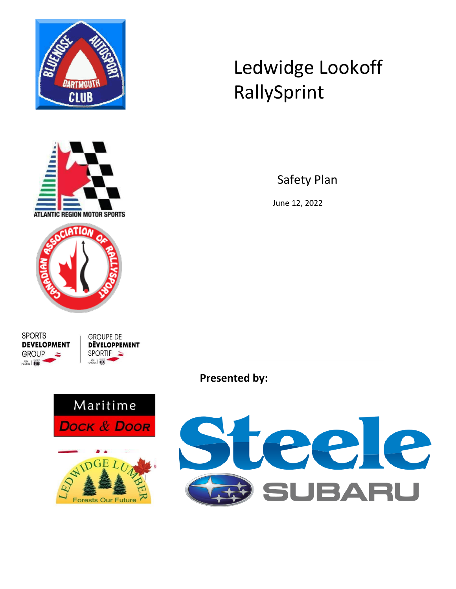



# Ledwidge Lookoff RallySprint

Safety Plan

June 12, 2022

**SPORTS DEVELOPMENT GROUP**  $\frac{ASN}{CAYADA}$ 

**GROUPE DE DEVELOPPEMENT SPORTIF** ASN **FIA** 



eele 5 **JBARU** 

**Presented by:**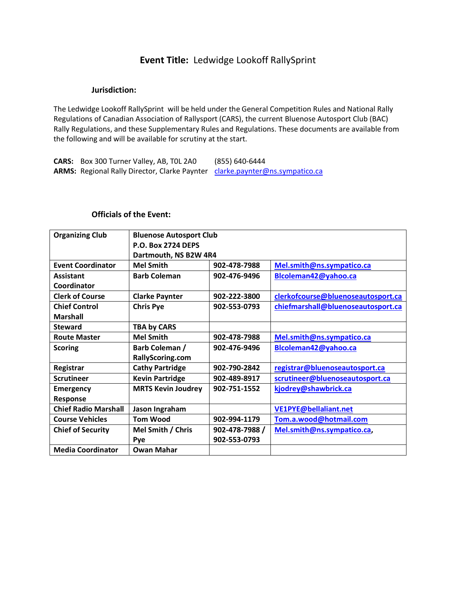## **Event Title:** Ledwidge Lookoff RallySprint

#### **Jurisdiction:**

The Ledwidge Lookoff RallySprint will be held under the General Competition Rules and National Rally Regulations of Canadian Association of Rallysport (CARS), the current Bluenose Autosport Club (BAC) Rally Regulations, and these Supplementary Rules and Regulations. These documents are available from the following and will be available for scrutiny at the start.

**CARS:** Box 300 Turner Valley, AB, T0L 2A0 (855) 640-6444 ARMS: Regional Rally Director, Clarke Paynter [clarke.paynter@ns.sympatico.ca](mailto:clarke.paynter@ns.sympatico.ca)

#### **Officials of the Event:**

| <b>Organizing Club</b>      | <b>Bluenose Autosport Club</b> |                |                                    |
|-----------------------------|--------------------------------|----------------|------------------------------------|
|                             | <b>P.O. Box 2724 DEPS</b>      |                |                                    |
|                             | Dartmouth, NS B2W 4R4          |                |                                    |
| <b>Event Coordinator</b>    | <b>Mel Smith</b>               | 902-478-7988   | Mel.smith@ns.sympatico.ca          |
| <b>Assistant</b>            | <b>Barb Coleman</b>            | 902-476-9496   | Blcoleman42@yahoo.ca               |
| Coordinator                 |                                |                |                                    |
| <b>Clerk of Course</b>      | <b>Clarke Paynter</b>          | 902-222-3800   | clerkofcourse@bluenoseautosport.ca |
| <b>Chief Control</b>        | <b>Chris Pye</b>               | 902-553-0793   | chiefmarshall@bluenoseautosport.ca |
| <b>Marshall</b>             |                                |                |                                    |
| <b>Steward</b>              | <b>TBA by CARS</b>             |                |                                    |
| <b>Route Master</b>         | <b>Mel Smith</b>               | 902-478-7988   | Mel.smith@ns.sympatico.ca          |
| <b>Scoring</b>              | Barb Coleman /                 | 902-476-9496   | Blcoleman42@yahoo.ca               |
|                             | RallyScoring.com               |                |                                    |
| Registrar                   | <b>Cathy Partridge</b>         | 902-790-2842   | registrar@bluenoseautosport.ca     |
| <b>Scrutineer</b>           | <b>Kevin Partridge</b>         | 902-489-8917   | scrutineer@bluenoseautosport.ca    |
| <b>Emergency</b>            | <b>MRTS Kevin Joudrey</b>      | 902-751-1552   | kjodrey@shawbrick.ca               |
| <b>Response</b>             |                                |                |                                    |
| <b>Chief Radio Marshall</b> | Jason Ingraham                 |                | VE1PYE@bellaliant.net              |
| <b>Course Vehicles</b>      | <b>Tom Wood</b>                | 902-994-1179   | Tom.a.wood@hotmail.com             |
| <b>Chief of Security</b>    | Mel Smith / Chris              | 902-478-7988 / | Mel.smith@ns.sympatico.ca,         |
|                             | Pye                            | 902-553-0793   |                                    |
| <b>Media Coordinator</b>    | <b>Owan Mahar</b>              |                |                                    |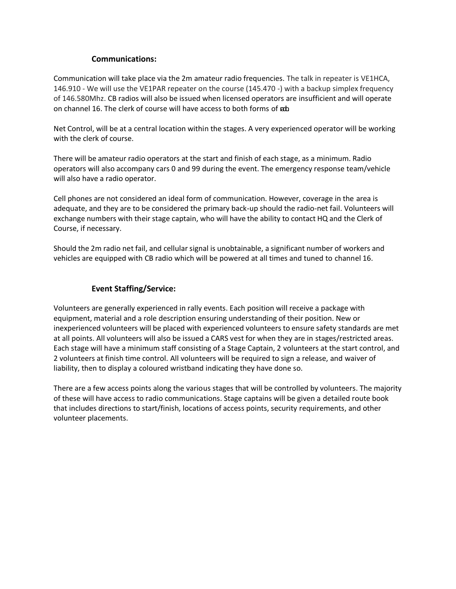#### **Communications:**

Communication will take place via the 2m amateur radio frequencies. The talk in repeater is VE1HCA, 146.910 - We will use the VE1PAR repeater on the course (145.470 -) with a backup simplex frequency of 146.580Mhz. CB radios will also be issued when licensed operators are insufficient and will operate on channel 16. The clerk of course will have access to both forms of  $\mathbf{a}$  b.

Net Control, will be at a central location within the stages. A very experienced operator will be working with the clerk of course.

There will be amateur radio operators at the start and finish of each stage, as a minimum. Radio operators will also accompany cars 0 and 99 during the event. The emergency response team/vehicle will also have a radio operator.

Cell phones are not considered an ideal form of communication. However, coverage in the area is adequate, and they are to be considered the primary back-up should the radio-net fail. Volunteers will exchange numbers with their stage captain, who will have the ability to contact HQ and the Clerk of Course, if necessary.

Should the 2m radio net fail, and cellular signal is unobtainable, a significant number of workers and vehicles are equipped with CB radio which will be powered at all times and tuned to channel 16.

#### **Event Staffing/Service:**

Volunteers are generally experienced in rally events. Each position will receive a package with equipment, material and a role description ensuring understanding of their position. New or inexperienced volunteers will be placed with experienced volunteers to ensure safety standards are met at all points. All volunteers will also be issued a CARS vest for when they are in stages/restricted areas. Each stage will have a minimum staff consisting of a Stage Captain, 2 volunteers at the start control, and 2 volunteers at finish time control. All volunteers will be required to sign a release, and waiver of liability, then to display a coloured wristband indicating they have done so.

There are a few access points along the various stages that will be controlled by volunteers. The majority of these will have access to radio communications. Stage captains will be given a detailed route book that includes directions to start/finish, locations of access points, security requirements, and other volunteer placements.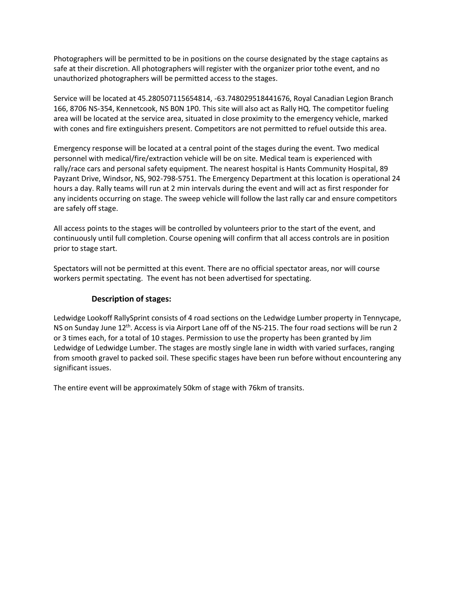Photographers will be permitted to be in positions on the course designated by the stage captains as safe at their discretion. All photographers will register with the organizer prior tothe event, and no unauthorized photographers will be permitted access to the stages.

Service will be located at 45.280507115654814, -63.748029518441676, Royal Canadian Legion Branch 166, 8706 NS-354, Kennetcook, NS B0N 1P0. This site will also act as Rally HQ. The competitor fueling area will be located at the service area, situated in close proximity to the emergency vehicle, marked with cones and fire extinguishers present. Competitors are not permitted to refuel outside this area.

Emergency response will be located at a central point of the stages during the event. Two medical personnel with medical/fire/extraction vehicle will be on site. Medical team is experienced with rally/race cars and personal safety equipment. The nearest hospital is Hants Community Hospital, 89 Payzant Drive, Windsor, NS, 902-798-5751. The Emergency Department at this location is operational 24 hours a day. Rally teams will run at 2 min intervals during the event and will act as first responder for any incidents occurring on stage. The sweep vehicle will follow the last rally car and ensure competitors are safely off stage.

All access points to the stages will be controlled by volunteers prior to the start of the event, and continuously until full completion. Course opening will confirm that all access controls are in position prior to stage start.

Spectators will not be permitted at this event. There are no official spectator areas, nor will course workers permit spectating. The event has not been advertised for spectating.

#### **Description of stages:**

Ledwidge Lookoff RallySprint consists of 4 road sections on the Ledwidge Lumber property in Tennycape, NS on Sunday June 12<sup>th</sup>. Access is via Airport Lane off of the NS-215. The four road sections will be run 2 or 3 times each, for a total of 10 stages. Permission to use the property has been granted by Jim Ledwidge of Ledwidge Lumber. The stages are mostly single lane in width with varied surfaces, ranging from smooth gravel to packed soil. These specific stages have been run before without encountering any significant issues.

The entire event will be approximately 50km of stage with 76km of transits.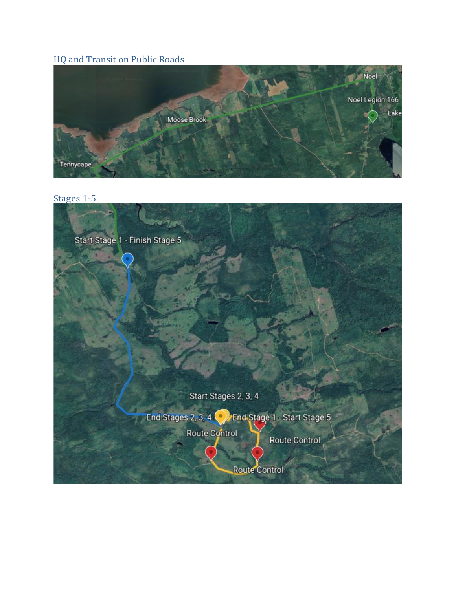# HQ and Transit on Public Roads



Stages 1-5